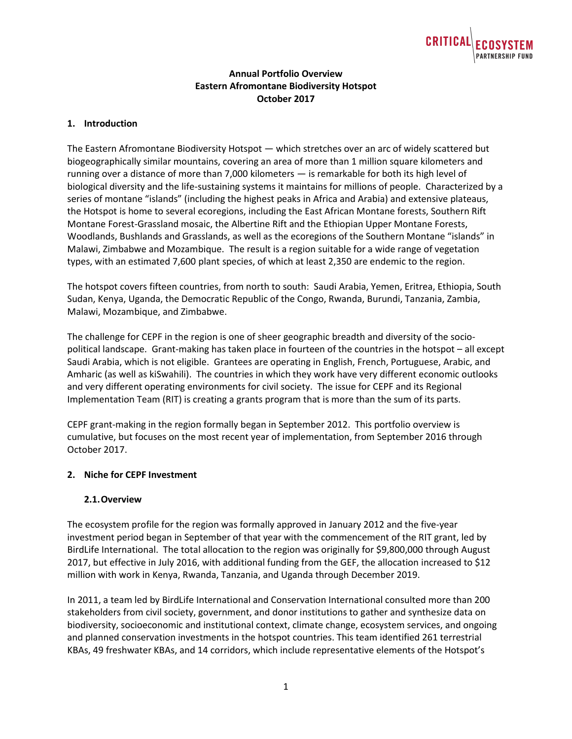

# **Annual Portfolio Overview Eastern Afromontane Biodiversity Hotspot October 2017**

## **1. Introduction**

The Eastern Afromontane Biodiversity Hotspot — which stretches over an arc of widely scattered but biogeographically similar mountains, covering an area of more than 1 million square kilometers and running over a distance of more than 7,000 kilometers — is remarkable for both its high level of biological diversity and the life-sustaining systems it maintains for millions of people. Characterized by a series of montane "islands" (including the highest peaks in Africa and Arabia) and extensive plateaus, the Hotspot is home to several ecoregions, including the East African Montane forests, Southern Rift Montane Forest-Grassland mosaic, the Albertine Rift and the Ethiopian Upper Montane Forests, Woodlands, Bushlands and Grasslands, as well as the ecoregions of the Southern Montane "islands" in Malawi, Zimbabwe and Mozambique. The result is a region suitable for a wide range of vegetation types, with an estimated 7,600 plant species, of which at least 2,350 are endemic to the region.

The hotspot covers fifteen countries, from north to south: Saudi Arabia, Yemen, Eritrea, Ethiopia, South Sudan, Kenya, Uganda, the Democratic Republic of the Congo, Rwanda, Burundi, Tanzania, Zambia, Malawi, Mozambique, and Zimbabwe.

The challenge for CEPF in the region is one of sheer geographic breadth and diversity of the sociopolitical landscape. Grant-making has taken place in fourteen of the countries in the hotspot – all except Saudi Arabia, which is not eligible. Grantees are operating in English, French, Portuguese, Arabic, and Amharic (as well as kiSwahili). The countries in which they work have very different economic outlooks and very different operating environments for civil society. The issue for CEPF and its Regional Implementation Team (RIT) is creating a grants program that is more than the sum of its parts.

CEPF grant-making in the region formally began in September 2012. This portfolio overview is cumulative, but focuses on the most recent year of implementation, from September 2016 through October 2017.

## **2. Niche for CEPF Investment**

#### **2.1.Overview**

The ecosystem profile for the region was formally approved in January 2012 and the five-year investment period began in September of that year with the commencement of the RIT grant, led by BirdLife International. The total allocation to the region was originally for \$9,800,000 through August 2017, but effective in July 2016, with additional funding from the GEF, the allocation increased to \$12 million with work in Kenya, Rwanda, Tanzania, and Uganda through December 2019.

In 2011, a team led by BirdLife International and Conservation International consulted more than 200 stakeholders from civil society, government, and donor institutions to gather and synthesize data on biodiversity, socioeconomic and institutional context, climate change, ecosystem services, and ongoing and planned conservation investments in the hotspot countries. This team identified 261 terrestrial KBAs, 49 freshwater KBAs, and 14 corridors, which include representative elements of the Hotspot's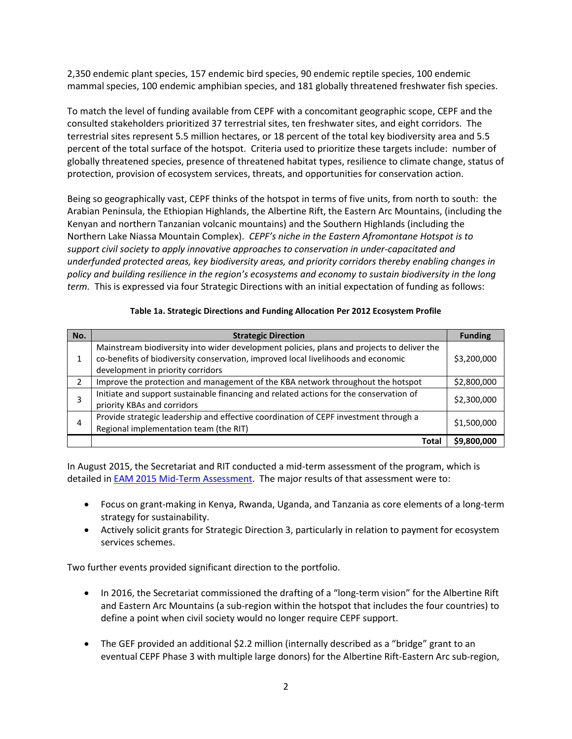2,350 endemic plant species, 157 endemic bird species, 90 endemic reptile species, 100 endemic mammal species, 100 endemic amphibian species, and 181 globally threatened freshwater fish species.

To match the level of funding available from CEPF with a concomitant geographic scope, CEPF and the consulted stakeholders prioritized 37 terrestrial sites, ten freshwater sites, and eight corridors. The terrestrial sites represent 5.5 million hectares, or 18 percent of the total key biodiversity area and 5.5 percent of the total surface of the hotspot. Criteria used to prioritize these targets include: number of globally threatened species, presence of threatened habitat types, resilience to climate change, status of protection, provision of ecosystem services, threats, and opportunities for conservation action.

Being so geographically vast, CEPF thinks of the hotspot in terms of five units, from north to south: the Arabian Peninsula, the Ethiopian Highlands, the Albertine Rift, the Eastern Arc Mountains, (including the Kenyan and northern Tanzanian volcanic mountains) and the Southern Highlands (including the Northern Lake Niassa Mountain Complex). *CEPF's niche in the Eastern Afromontane Hotspot is to support civil society to apply innovative approaches to conservation in under-capacitated and underfunded protected areas, key biodiversity areas, and priority corridors thereby enabling changes in policy and building resilience in the region's ecosystems and economy to sustain biodiversity in the long term.* This is expressed via four Strategic Directions with an initial expectation of funding as follows:

#### **Table 1a. Strategic Directions and Funding Allocation Per 2012 Ecosystem Profile**

| No. | <b>Strategic Direction</b>                                                                                                                                                                                           | <b>Funding</b> |
|-----|----------------------------------------------------------------------------------------------------------------------------------------------------------------------------------------------------------------------|----------------|
| 1   | Mainstream biodiversity into wider development policies, plans and projects to deliver the<br>co-benefits of biodiversity conservation, improved local livelihoods and economic<br>development in priority corridors | \$3,200,000    |
| 2   | Improve the protection and management of the KBA network throughout the hotspot                                                                                                                                      | \$2,800,000    |
| 3   | Initiate and support sustainable financing and related actions for the conservation of<br>priority KBAs and corridors                                                                                                | \$2,300,000    |
| 4   | Provide strategic leadership and effective coordination of CEPF investment through a<br>Regional implementation team (the RIT)                                                                                       | \$1,500,000    |
|     | Tota                                                                                                                                                                                                                 | \$9,800,000    |

In August 2015, the Secretariat and RIT conducted a mid-term assessment of the program, which is detailed in [EAM 2015 Mid-Term Assessment.](https://www.cepf.net/sites/default/files/eam-midtermassessment-lores.pdf) The major results of that assessment were to:

- Focus on grant-making in Kenya, Rwanda, Uganda, and Tanzania as core elements of a long-term strategy for sustainability.
- Actively solicit grants for Strategic Direction 3, particularly in relation to payment for ecosystem services schemes.

Two further events provided significant direction to the portfolio.

- In 2016, the Secretariat commissioned the drafting of a "long-term vision" for the Albertine Rift and Eastern Arc Mountains (a sub-region within the hotspot that includes the four countries) to define a point when civil society would no longer require CEPF support.
- The GEF provided an additional \$2.2 million (internally described as a "bridge" grant to an eventual CEPF Phase 3 with multiple large donors) for the Albertine Rift-Eastern Arc sub-region,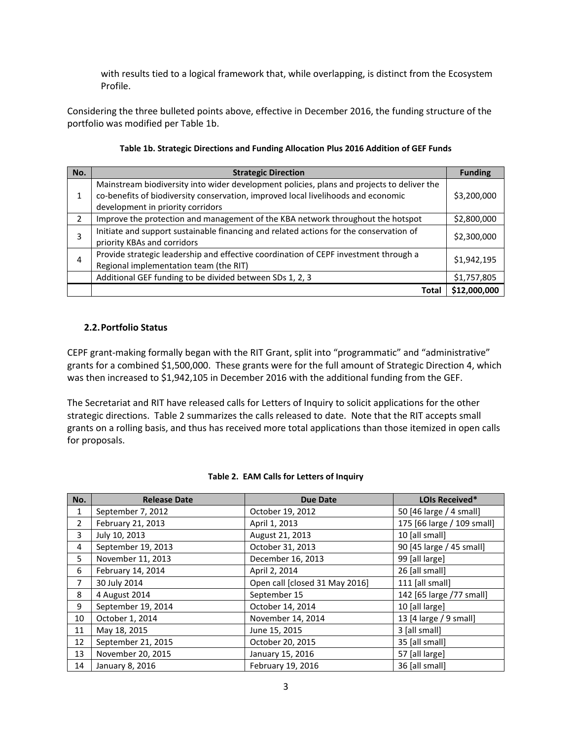with results tied to a logical framework that, while overlapping, is distinct from the Ecosystem Profile.

Considering the three bulleted points above, effective in December 2016, the funding structure of the portfolio was modified per Table 1b.

| Table 1b. Strategic Directions and Funding Allocation Plus 2016 Addition of GEF Funds |  |
|---------------------------------------------------------------------------------------|--|
|                                                                                       |  |

| No. | <b>Strategic Direction</b>                                                                 | <b>Funding</b> |
|-----|--------------------------------------------------------------------------------------------|----------------|
|     | Mainstream biodiversity into wider development policies, plans and projects to deliver the |                |
|     | co-benefits of biodiversity conservation, improved local livelihoods and economic          | \$3,200,000    |
|     | development in priority corridors                                                          |                |
| 2   | Improve the protection and management of the KBA network throughout the hotspot            | \$2,800,000    |
| 3   | Initiate and support sustainable financing and related actions for the conservation of     | \$2,300,000    |
|     | priority KBAs and corridors                                                                |                |
| 4   | Provide strategic leadership and effective coordination of CEPF investment through a       | \$1,942,195    |
|     | Regional implementation team (the RIT)                                                     |                |
|     | Additional GEF funding to be divided between SDs 1, 2, 3                                   | \$1,757,805    |
|     | Total                                                                                      | \$12,000,000   |

#### **2.2.Portfolio Status**

CEPF grant-making formally began with the RIT Grant, split into "programmatic" and "administrative" grants for a combined \$1,500,000. These grants were for the full amount of Strategic Direction 4, which was then increased to \$1,942,105 in December 2016 with the additional funding from the GEF.

The Secretariat and RIT have released calls for Letters of Inquiry to solicit applications for the other strategic directions. Table 2 summarizes the calls released to date. Note that the RIT accepts small grants on a rolling basis, and thus has received more total applications than those itemized in open calls for proposals.

| No.            | <b>Release Date</b> | <b>Due Date</b>                | <b>LOIs Received*</b>      |
|----------------|---------------------|--------------------------------|----------------------------|
| 1              | September 7, 2012   | October 19, 2012               | 50 [46 large / 4 small]    |
| $\overline{2}$ | February 21, 2013   | April 1, 2013                  | 175 [66 large / 109 small] |
| 3              | July 10, 2013       | August 21, 2013                | 10 [all small]             |
| 4              | September 19, 2013  | October 31, 2013               | 90 [45 large / 45 small]   |
| 5              | November 11, 2013   | December 16, 2013              | 99 [all large]             |
| 6              | February 14, 2014   | April 2, 2014                  | 26 [all small]             |
| 7              | 30 July 2014        | Open call [closed 31 May 2016] | 111 [all small]            |
| 8              | 4 August 2014       | September 15                   | 142 [65 large /77 small]   |
| 9              | September 19, 2014  | October 14, 2014               | 10 [all large]             |
| 10             | October 1, 2014     | November 14, 2014              | 13 [4 large / 9 small]     |
| 11             | May 18, 2015        | June 15, 2015                  | 3 [all small]              |
| 12             | September 21, 2015  | October 20, 2015               | 35 [all small]             |
| 13             | November 20, 2015   | January 15, 2016               | 57 [all large]             |
| 14             | January 8, 2016     | February 19, 2016              | 36 [all small]             |

## **Table 2. EAM Calls for Letters of Inquiry**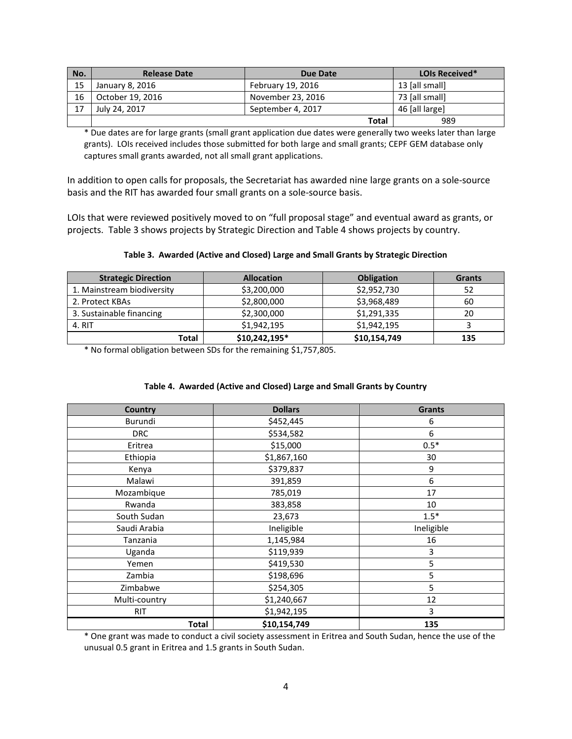| No. | <b>Release Date</b> | Due Date          | <b>LOIs Received*</b> |
|-----|---------------------|-------------------|-----------------------|
| 15  | January 8, 2016     | February 19, 2016 | 13 [all small]        |
| 16  | October 19, 2016    | November 23, 2016 | 73 [all small]        |
| 17  | July 24, 2017       | September 4, 2017 | 46 [all large]        |
|     |                     | <b>Total</b>      | 989                   |

\* Due dates are for large grants (small grant application due dates were generally two weeks later than large grants). LOIs received includes those submitted for both large and small grants; CEPF GEM database only captures small grants awarded, not all small grant applications.

In addition to open calls for proposals, the Secretariat has awarded nine large grants on a sole-source basis and the RIT has awarded four small grants on a sole-source basis.

LOIs that were reviewed positively moved to on "full proposal stage" and eventual award as grants, or projects. Table 3 shows projects by Strategic Direction and Table 4 shows projects by country.

| <b>Strategic Direction</b> | <b>Allocation</b> | <b>Obligation</b> | <b>Grants</b> |
|----------------------------|-------------------|-------------------|---------------|
| 1. Mainstream biodiversity | \$3,200,000       | \$2,952,730       | 52            |
| 2. Protect KBAs            | \$2,800,000       | \$3,968,489       | 60            |
| 3. Sustainable financing   | \$2,300,000       | \$1,291,335       | 20            |
| 4. RIT                     | \$1,942,195       | \$1,942,195       |               |
| Total                      | \$10,242,195*     | \$10,154,749      | 135           |

#### **Table 3. Awarded (Active and Closed) Large and Small Grants by Strategic Direction**

\* No formal obligation between SDs for the remaining \$1,757,805.

#### **Table 4. Awarded (Active and Closed) Large and Small Grants by Country**

| <b>Country</b> | <b>Dollars</b> | <b>Grants</b> |
|----------------|----------------|---------------|
| Burundi        | \$452,445      | 6             |
| <b>DRC</b>     | \$534,582      | 6             |
| Eritrea        | \$15,000       | $0.5*$        |
| Ethiopia       | \$1,867,160    | 30            |
| Kenya          | \$379,837      | 9             |
| Malawi         | 391,859        | 6             |
| Mozambique     | 785,019        | 17            |
| Rwanda         | 383,858        | 10            |
| South Sudan    | 23,673         | $1.5*$        |
| Saudi Arabia   | Ineligible     | Ineligible    |
| Tanzania       | 1,145,984      | 16            |
| Uganda         | \$119,939      | 3             |
| Yemen          | \$419,530      | 5             |
| Zambia         | \$198,696      | 5             |
| Zimbabwe       | \$254,305      | 5             |
| Multi-country  | \$1,240,667    | 12            |
| <b>RIT</b>     | \$1,942,195    | 3             |
| <b>Total</b>   | \$10,154,749   | 135           |

\* One grant was made to conduct a civil society assessment in Eritrea and South Sudan, hence the use of the unusual 0.5 grant in Eritrea and 1.5 grants in South Sudan.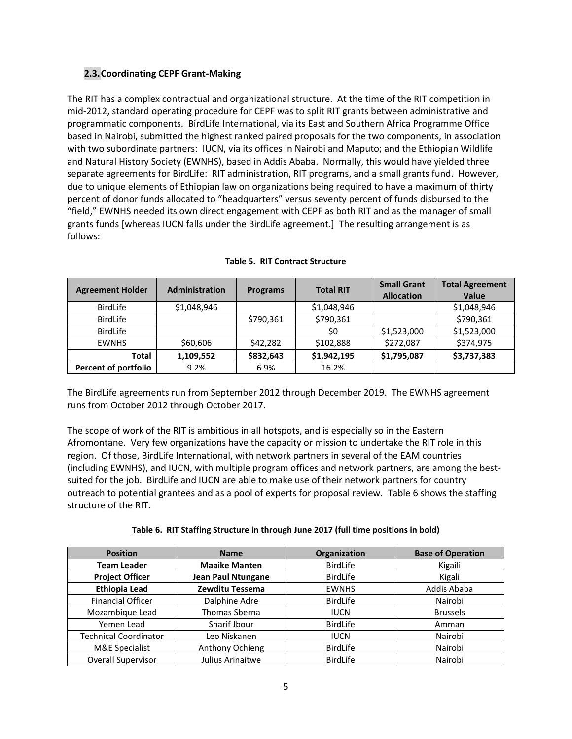# **2.3.Coordinating CEPF Grant-Making**

The RIT has a complex contractual and organizational structure. At the time of the RIT competition in mid-2012, standard operating procedure for CEPF was to split RIT grants between administrative and programmatic components. BirdLife International, via its East and Southern Africa Programme Office based in Nairobi, submitted the highest ranked paired proposals for the two components, in association with two subordinate partners: IUCN, via its offices in Nairobi and Maputo; and the Ethiopian Wildlife and Natural History Society (EWNHS), based in Addis Ababa. Normally, this would have yielded three separate agreements for BirdLife: RIT administration, RIT programs, and a small grants fund. However, due to unique elements of Ethiopian law on organizations being required to have a maximum of thirty percent of donor funds allocated to "headquarters" versus seventy percent of funds disbursed to the "field," EWNHS needed its own direct engagement with CEPF as both RIT and as the manager of small grants funds [whereas IUCN falls under the BirdLife agreement.] The resulting arrangement is as follows:

| <b>Agreement Holder</b>     | <b>Administration</b> | <b>Programs</b> | <b>Total RIT</b> | <b>Small Grant</b><br><b>Allocation</b> | <b>Total Agreement</b><br><b>Value</b> |
|-----------------------------|-----------------------|-----------------|------------------|-----------------------------------------|----------------------------------------|
| <b>BirdLife</b>             | \$1,048,946           |                 | \$1,048,946      |                                         | \$1,048,946                            |
| <b>BirdLife</b>             |                       | \$790,361       | \$790,361        |                                         | \$790,361                              |
| <b>BirdLife</b>             |                       |                 | \$0              | \$1,523,000                             | \$1,523,000                            |
| <b>EWNHS</b>                | \$60,606              | \$42,282        | \$102.888        | \$272,087                               | \$374,975                              |
| <b>Total</b>                | 1,109,552             | \$832,643       | \$1,942,195      | \$1,795,087                             | \$3,737,383                            |
| <b>Percent of portfolio</b> | 9.2%                  | 6.9%            | 16.2%            |                                         |                                        |

#### **Table 5. RIT Contract Structure**

The BirdLife agreements run from September 2012 through December 2019. The EWNHS agreement runs from October 2012 through October 2017.

The scope of work of the RIT is ambitious in all hotspots, and is especially so in the Eastern Afromontane. Very few organizations have the capacity or mission to undertake the RIT role in this region. Of those, BirdLife International, with network partners in several of the EAM countries (including EWNHS), and IUCN, with multiple program offices and network partners, are among the bestsuited for the job. BirdLife and IUCN are able to make use of their network partners for country outreach to potential grantees and as a pool of experts for proposal review. Table 6 shows the staffing structure of the RIT.

|  |  | Table 6. RIT Staffing Structure in through June 2017 (full time positions in bold) |  |  |  |
|--|--|------------------------------------------------------------------------------------|--|--|--|
|--|--|------------------------------------------------------------------------------------|--|--|--|

| <b>Position</b>              | <b>Name</b>               | Organization    | <b>Base of Operation</b> |
|------------------------------|---------------------------|-----------------|--------------------------|
| <b>Team Leader</b>           | <b>Maaike Manten</b>      | <b>BirdLife</b> | Kigaili                  |
| <b>Project Officer</b>       | <b>Jean Paul Ntungane</b> | <b>BirdLife</b> | Kigali                   |
| <b>Ethiopia Lead</b>         | Zewditu Tessema           | <b>EWNHS</b>    | Addis Ababa              |
| <b>Financial Officer</b>     | Dalphine Adre             | BirdLife        | Nairobi                  |
| Mozambique Lead              | Thomas Sberna             | <b>IUCN</b>     | <b>Brussels</b>          |
| Yemen Lead                   | Sharif Jbour              | BirdLife        | Amman                    |
| <b>Technical Coordinator</b> | Leo Niskanen              | <b>IUCN</b>     | Nairobi                  |
| <b>M&amp;E Specialist</b>    | Anthony Ochieng           | <b>BirdLife</b> | Nairobi                  |
| <b>Overall Supervisor</b>    | Julius Arinaitwe          | <b>BirdLife</b> | Nairobi                  |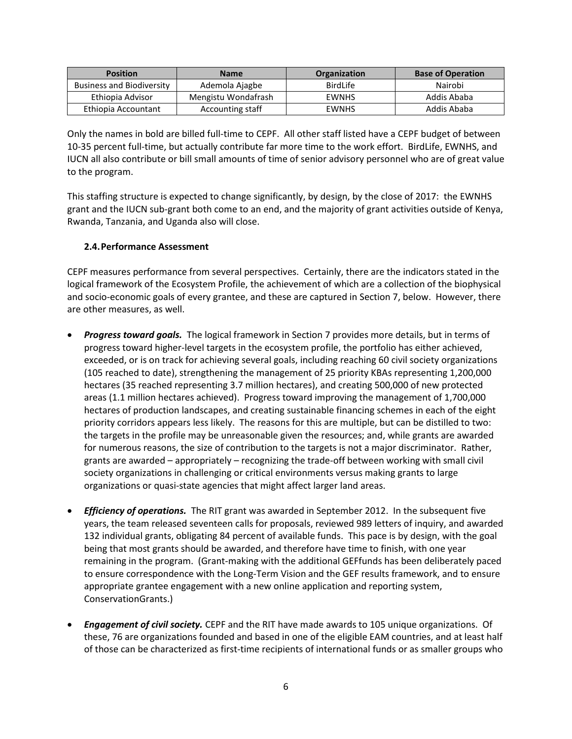| <b>Position</b>                  | <b>Name</b>         | <b>Organization</b> | <b>Base of Operation</b> |
|----------------------------------|---------------------|---------------------|--------------------------|
| <b>Business and Biodiversity</b> | Ademola Ajagbe      | <b>BirdLife</b>     | Nairobi                  |
| Ethiopia Advisor                 | Mengistu Wondafrash | <b>EWNHS</b>        | Addis Ababa              |
| Ethiopia Accountant              | Accounting staff    | <b>EWNHS</b>        | Addis Ababa              |

Only the names in bold are billed full-time to CEPF. All other staff listed have a CEPF budget of between 10-35 percent full-time, but actually contribute far more time to the work effort. BirdLife, EWNHS, and IUCN all also contribute or bill small amounts of time of senior advisory personnel who are of great value to the program.

This staffing structure is expected to change significantly, by design, by the close of 2017: the EWNHS grant and the IUCN sub-grant both come to an end, and the majority of grant activities outside of Kenya, Rwanda, Tanzania, and Uganda also will close.

## **2.4.Performance Assessment**

CEPF measures performance from several perspectives. Certainly, there are the indicators stated in the logical framework of the Ecosystem Profile, the achievement of which are a collection of the biophysical and socio-economic goals of every grantee, and these are captured in Section 7, below. However, there are other measures, as well.

- *Progress toward goals.* The logical framework in Section 7 provides more details, but in terms of progress toward higher-level targets in the ecosystem profile, the portfolio has either achieved, exceeded, or is on track for achieving several goals, including reaching 60 civil society organizations (105 reached to date), strengthening the management of 25 priority KBAs representing 1,200,000 hectares (35 reached representing 3.7 million hectares), and creating 500,000 of new protected areas (1.1 million hectares achieved). Progress toward improving the management of 1,700,000 hectares of production landscapes, and creating sustainable financing schemes in each of the eight priority corridors appears less likely. The reasons for this are multiple, but can be distilled to two: the targets in the profile may be unreasonable given the resources; and, while grants are awarded for numerous reasons, the size of contribution to the targets is not a major discriminator. Rather, grants are awarded – appropriately – recognizing the trade-off between working with small civil society organizations in challenging or critical environments versus making grants to large organizations or quasi-state agencies that might affect larger land areas.
- *Efficiency of operations.* The RIT grant was awarded in September 2012. In the subsequent five years, the team released seventeen calls for proposals, reviewed 989 letters of inquiry, and awarded 132 individual grants, obligating 84 percent of available funds. This pace is by design, with the goal being that most grants should be awarded, and therefore have time to finish, with one year remaining in the program. (Grant-making with the additional GEFfunds has been deliberately paced to ensure correspondence with the Long-Term Vision and the GEF results framework, and to ensure appropriate grantee engagement with a new online application and reporting system, ConservationGrants.)
- *Engagement of civil society.* CEPF and the RIT have made awards to 105 unique organizations. Of these, 76 are organizations founded and based in one of the eligible EAM countries, and at least half of those can be characterized as first-time recipients of international funds or as smaller groups who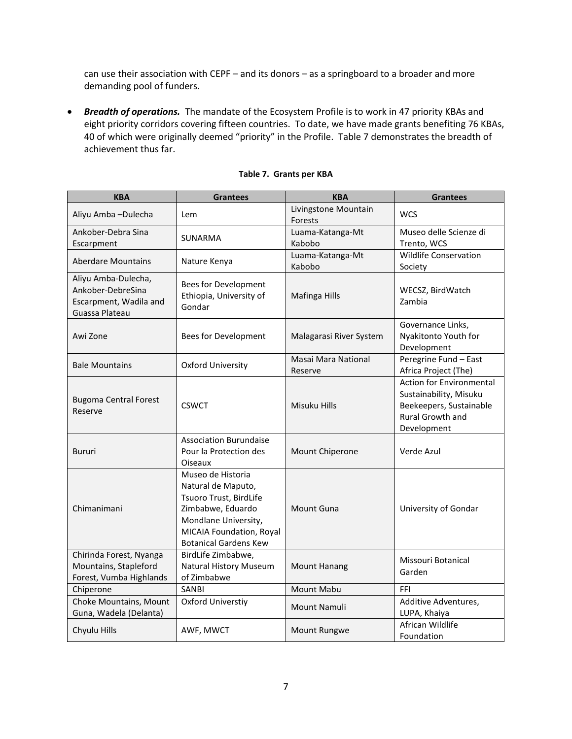can use their association with CEPF – and its donors – as a springboard to a broader and more demanding pool of funders.

• *Breadth of operations.* The mandate of the Ecosystem Profile is to work in 47 priority KBAs and eight priority corridors covering fifteen countries. To date, we have made grants benefiting 76 KBAs, 40 of which were originally deemed "priority" in the Profile. Table 7 demonstrates the breadth of achievement thus far.

| <b>KBA</b>                                                                           | <b>Grantees</b>                                                                                                                                                            | <b>KBA</b>                      | <b>Grantees</b>                                                                                                         |
|--------------------------------------------------------------------------------------|----------------------------------------------------------------------------------------------------------------------------------------------------------------------------|---------------------------------|-------------------------------------------------------------------------------------------------------------------------|
| Aliyu Amba-Dulecha                                                                   | Lem                                                                                                                                                                        | Livingstone Mountain<br>Forests | <b>WCS</b>                                                                                                              |
| Ankober-Debra Sina<br>Escarpment                                                     | SUNARMA                                                                                                                                                                    | Luama-Katanga-Mt<br>Kabobo      | Museo delle Scienze di<br>Trento, WCS                                                                                   |
| <b>Aberdare Mountains</b>                                                            | Nature Kenya                                                                                                                                                               | Luama-Katanga-Mt<br>Kabobo      | <b>Wildlife Conservation</b><br>Society                                                                                 |
| Aliyu Amba-Dulecha,<br>Ankober-DebreSina<br>Escarpment, Wadila and<br>Guassa Plateau | Bees for Development<br>Ethiopia, University of<br>Gondar                                                                                                                  | Mafinga Hills                   | WECSZ, BirdWatch<br>Zambia                                                                                              |
| Awi Zone                                                                             | Bees for Development                                                                                                                                                       | Malagarasi River System         | Governance Links,<br>Nyakitonto Youth for<br>Development                                                                |
| <b>Bale Mountains</b>                                                                | <b>Oxford University</b>                                                                                                                                                   | Masai Mara National<br>Reserve  | Peregrine Fund - East<br>Africa Project (The)                                                                           |
| <b>Bugoma Central Forest</b><br>Reserve                                              | <b>CSWCT</b>                                                                                                                                                               | Misuku Hills                    | <b>Action for Environmental</b><br>Sustainability, Misuku<br>Beekeepers, Sustainable<br>Rural Growth and<br>Development |
| <b>Bururi</b>                                                                        | <b>Association Burundaise</b><br>Pour la Protection des<br>Oiseaux                                                                                                         | Mount Chiperone                 | Verde Azul                                                                                                              |
| Chimanimani                                                                          | Museo de Historia<br>Natural de Maputo,<br>Tsuoro Trust, BirdLife<br>Zimbabwe, Eduardo<br>Mondlane University,<br>MICAIA Foundation, Royal<br><b>Botanical Gardens Kew</b> | Mount Guna                      | University of Gondar                                                                                                    |
| Chirinda Forest, Nyanga<br>Mountains, Stapleford<br>Forest, Vumba Highlands          | BirdLife Zimbabwe,<br>Natural History Museum<br>of Zimbabwe                                                                                                                | <b>Mount Hanang</b>             | Missouri Botanical<br>Garden                                                                                            |
| Chiperone                                                                            | <b>SANBI</b>                                                                                                                                                               | Mount Mabu                      | FFI                                                                                                                     |
| Choke Mountains, Mount<br>Guna, Wadela (Delanta)                                     | Oxford Universtiy                                                                                                                                                          | Mount Namuli                    | Additive Adventures,<br>LUPA, Khaiya                                                                                    |
| Chyulu Hills                                                                         | AWF, MWCT                                                                                                                                                                  | Mount Rungwe                    | African Wildlife<br>Foundation                                                                                          |

## **Table 7. Grants per KBA**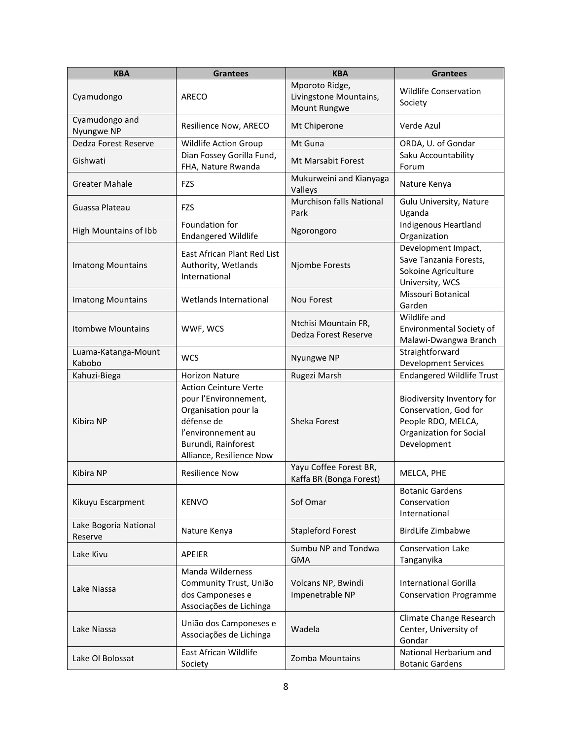| <b>KBA</b>                       | <b>Grantees</b>                                                                                                                                                      | <b>KBA</b>                                               | <b>Grantees</b>                                                                                                            |
|----------------------------------|----------------------------------------------------------------------------------------------------------------------------------------------------------------------|----------------------------------------------------------|----------------------------------------------------------------------------------------------------------------------------|
| Cyamudongo                       | ARECO                                                                                                                                                                | Mporoto Ridge,<br>Livingstone Mountains,<br>Mount Rungwe | <b>Wildlife Conservation</b><br>Society                                                                                    |
| Cyamudongo and<br>Nyungwe NP     | Resilience Now, ARECO                                                                                                                                                | Mt Chiperone                                             | Verde Azul                                                                                                                 |
| Dedza Forest Reserve             | Wildlife Action Group                                                                                                                                                | Mt Guna                                                  | ORDA, U. of Gondar                                                                                                         |
| Gishwati                         | Dian Fossey Gorilla Fund,<br>FHA, Nature Rwanda                                                                                                                      | <b>Mt Marsabit Forest</b>                                | Saku Accountability<br>Forum                                                                                               |
| <b>Greater Mahale</b>            | FZS                                                                                                                                                                  | Mukurweini and Kianyaga<br>Valleys                       | Nature Kenya                                                                                                               |
| Guassa Plateau                   | FZS                                                                                                                                                                  | Murchison falls National<br>Park                         | Gulu University, Nature<br>Uganda                                                                                          |
| High Mountains of Ibb            | Foundation for<br><b>Endangered Wildlife</b>                                                                                                                         | Ngorongoro                                               | Indigenous Heartland<br>Organization                                                                                       |
| <b>Imatong Mountains</b>         | East African Plant Red List<br>Authority, Wetlands<br>International                                                                                                  | Njombe Forests                                           | Development Impact,<br>Save Tanzania Forests,<br>Sokoine Agriculture<br>University, WCS                                    |
| <b>Imatong Mountains</b>         | Wetlands International                                                                                                                                               | <b>Nou Forest</b>                                        | Missouri Botanical<br>Garden                                                                                               |
| <b>Itombwe Mountains</b>         | WWF, WCS                                                                                                                                                             | Ntchisi Mountain FR,<br>Dedza Forest Reserve             | Wildlife and<br>Environmental Society of<br>Malawi-Dwangwa Branch                                                          |
| Luama-Katanga-Mount<br>Kabobo    | <b>WCS</b>                                                                                                                                                           | Nyungwe NP                                               | Straightforward<br><b>Development Services</b>                                                                             |
| Kahuzi-Biega                     | <b>Horizon Nature</b>                                                                                                                                                | Rugezi Marsh                                             | <b>Endangered Wildlife Trust</b>                                                                                           |
| Kibira NP                        | <b>Action Ceinture Verte</b><br>pour l'Environnement,<br>Organisation pour la<br>défense de<br>l'environnement au<br>Burundi, Rainforest<br>Alliance, Resilience Now | Sheka Forest                                             | Biodiversity Inventory for<br>Conservation, God for<br>People RDO, MELCA,<br><b>Organization for Social</b><br>Development |
| Kibira NP                        | <b>Resilience Now</b>                                                                                                                                                | Yayu Coffee Forest BR,<br>Kaffa BR (Bonga Forest)        | MELCA, PHE                                                                                                                 |
| Kikuyu Escarpment                | <b>KENVO</b>                                                                                                                                                         | Sof Omar                                                 | <b>Botanic Gardens</b><br>Conservation<br>International                                                                    |
| Lake Bogoria National<br>Reserve | Nature Kenya                                                                                                                                                         | <b>Stapleford Forest</b>                                 | BirdLife Zimbabwe                                                                                                          |
| Lake Kivu                        | <b>APEIER</b>                                                                                                                                                        | Sumbu NP and Tondwa<br><b>GMA</b>                        | <b>Conservation Lake</b><br>Tanganyika                                                                                     |
| Lake Niassa                      | Manda Wilderness<br>Community Trust, União<br>dos Camponeses e<br>Associações de Lichinga                                                                            | Volcans NP, Bwindi<br>Impenetrable NP                    | <b>International Gorilla</b><br><b>Conservation Programme</b>                                                              |
| Lake Niassa                      | União dos Camponeses e<br>Associações de Lichinga                                                                                                                    | Wadela                                                   | Climate Change Research<br>Center, University of<br>Gondar                                                                 |
| Lake OI Bolossat                 | East African Wildlife<br>Society                                                                                                                                     | <b>Zomba Mountains</b>                                   | National Herbarium and<br><b>Botanic Gardens</b>                                                                           |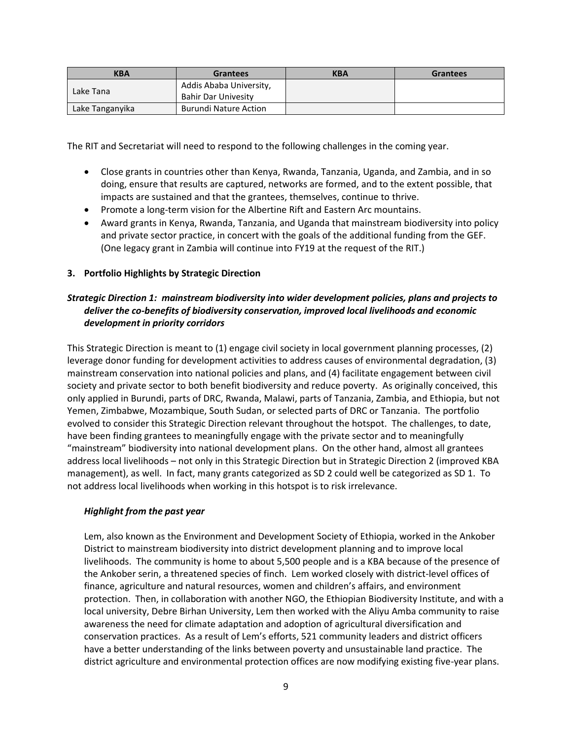| <b>KBA</b>      | <b>Grantees</b>              | <b>KBA</b> | <b>Grantees</b> |
|-----------------|------------------------------|------------|-----------------|
| Lake Tana       | Addis Ababa University,      |            |                 |
|                 | <b>Bahir Dar Univesity</b>   |            |                 |
| Lake Tanganyika | <b>Burundi Nature Action</b> |            |                 |

The RIT and Secretariat will need to respond to the following challenges in the coming year.

- Close grants in countries other than Kenya, Rwanda, Tanzania, Uganda, and Zambia, and in so doing, ensure that results are captured, networks are formed, and to the extent possible, that impacts are sustained and that the grantees, themselves, continue to thrive.
- Promote a long-term vision for the Albertine Rift and Eastern Arc mountains.
- Award grants in Kenya, Rwanda, Tanzania, and Uganda that mainstream biodiversity into policy and private sector practice, in concert with the goals of the additional funding from the GEF. (One legacy grant in Zambia will continue into FY19 at the request of the RIT.)

## **3. Portfolio Highlights by Strategic Direction**

# *Strategic Direction 1: mainstream biodiversity into wider development policies, plans and projects to deliver the co-benefits of biodiversity conservation, improved local livelihoods and economic development in priority corridors*

This Strategic Direction is meant to (1) engage civil society in local government planning processes, (2) leverage donor funding for development activities to address causes of environmental degradation, (3) mainstream conservation into national policies and plans, and (4) facilitate engagement between civil society and private sector to both benefit biodiversity and reduce poverty. As originally conceived, this only applied in Burundi, parts of DRC, Rwanda, Malawi, parts of Tanzania, Zambia, and Ethiopia, but not Yemen, Zimbabwe, Mozambique, South Sudan, or selected parts of DRC or Tanzania. The portfolio evolved to consider this Strategic Direction relevant throughout the hotspot. The challenges, to date, have been finding grantees to meaningfully engage with the private sector and to meaningfully "mainstream" biodiversity into national development plans. On the other hand, almost all grantees address local livelihoods – not only in this Strategic Direction but in Strategic Direction 2 (improved KBA management), as well. In fact, many grants categorized as SD 2 could well be categorized as SD 1. To not address local livelihoods when working in this hotspot is to risk irrelevance.

#### *Highlight from the past year*

Lem, also known as the Environment and Development Society of Ethiopia, worked in the Ankober District to mainstream biodiversity into district development planning and to improve local livelihoods. The community is home to about 5,500 people and is a KBA because of the presence of the Ankober serin, a threatened species of finch. Lem worked closely with district-level offices of finance, agriculture and natural resources, women and children's affairs, and environment protection. Then, in collaboration with another NGO, the Ethiopian Biodiversity Institute, and with a local university, Debre Birhan University, Lem then worked with the Aliyu Amba community to raise awareness the need for climate adaptation and adoption of agricultural diversification and conservation practices. As a result of Lem's efforts, 521 community leaders and district officers have a better understanding of the links between poverty and unsustainable land practice. The district agriculture and environmental protection offices are now modifying existing five-year plans.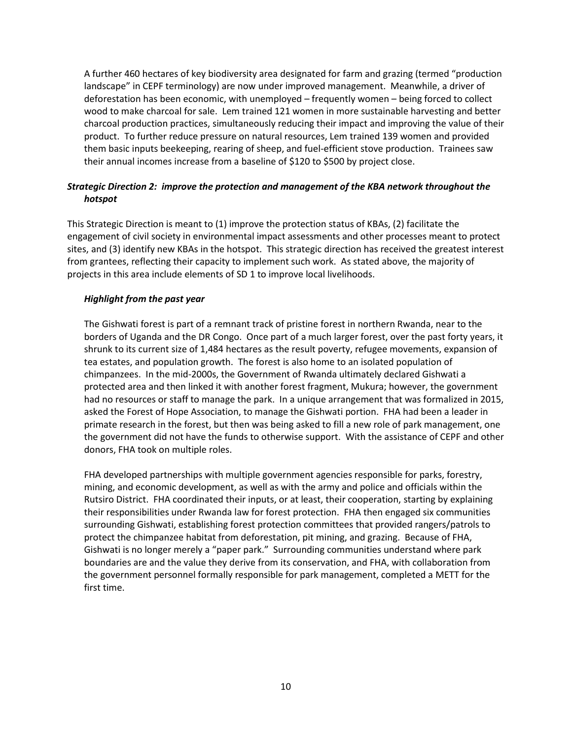A further 460 hectares of key biodiversity area designated for farm and grazing (termed "production landscape" in CEPF terminology) are now under improved management. Meanwhile, a driver of deforestation has been economic, with unemployed – frequently women – being forced to collect wood to make charcoal for sale. Lem trained 121 women in more sustainable harvesting and better charcoal production practices, simultaneously reducing their impact and improving the value of their product. To further reduce pressure on natural resources, Lem trained 139 women and provided them basic inputs beekeeping, rearing of sheep, and fuel-efficient stove production. Trainees saw their annual incomes increase from a baseline of \$120 to \$500 by project close.

# *Strategic Direction 2: improve the protection and management of the KBA network throughout the hotspot*

This Strategic Direction is meant to (1) improve the protection status of KBAs, (2) facilitate the engagement of civil society in environmental impact assessments and other processes meant to protect sites, and (3) identify new KBAs in the hotspot. This strategic direction has received the greatest interest from grantees, reflecting their capacity to implement such work. As stated above, the majority of projects in this area include elements of SD 1 to improve local livelihoods.

## *Highlight from the past year*

The Gishwati forest is part of a remnant track of pristine forest in northern Rwanda, near to the borders of Uganda and the DR Congo. Once part of a much larger forest, over the past forty years, it shrunk to its current size of 1,484 hectares as the result poverty, refugee movements, expansion of tea estates, and population growth. The forest is also home to an isolated population of chimpanzees. In the mid-2000s, the Government of Rwanda ultimately declared Gishwati a protected area and then linked it with another forest fragment, Mukura; however, the government had no resources or staff to manage the park. In a unique arrangement that was formalized in 2015, asked the Forest of Hope Association, to manage the Gishwati portion. FHA had been a leader in primate research in the forest, but then was being asked to fill a new role of park management, one the government did not have the funds to otherwise support. With the assistance of CEPF and other donors, FHA took on multiple roles.

FHA developed partnerships with multiple government agencies responsible for parks, forestry, mining, and economic development, as well as with the army and police and officials within the Rutsiro District. FHA coordinated their inputs, or at least, their cooperation, starting by explaining their responsibilities under Rwanda law for forest protection. FHA then engaged six communities surrounding Gishwati, establishing forest protection committees that provided rangers/patrols to protect the chimpanzee habitat from deforestation, pit mining, and grazing. Because of FHA, Gishwati is no longer merely a "paper park." Surrounding communities understand where park boundaries are and the value they derive from its conservation, and FHA, with collaboration from the government personnel formally responsible for park management, completed a METT for the first time.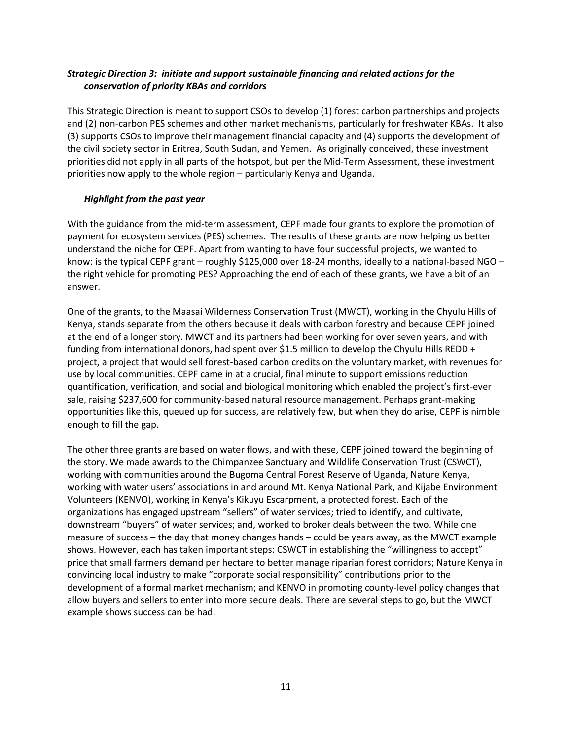# *Strategic Direction 3: initiate and support sustainable financing and related actions for the conservation of priority KBAs and corridors*

This Strategic Direction is meant to support CSOs to develop (1) forest carbon partnerships and projects and (2) non-carbon PES schemes and other market mechanisms, particularly for freshwater KBAs. It also (3) supports CSOs to improve their management financial capacity and (4) supports the development of the civil society sector in Eritrea, South Sudan, and Yemen. As originally conceived, these investment priorities did not apply in all parts of the hotspot, but per the Mid-Term Assessment, these investment priorities now apply to the whole region – particularly Kenya and Uganda.

# *Highlight from the past year*

With the guidance from the mid-term assessment, CEPF made four grants to explore the promotion of payment for ecosystem services (PES) schemes. The results of these grants are now helping us better understand the niche for CEPF. Apart from wanting to have four successful projects, we wanted to know: is the typical CEPF grant – roughly \$125,000 over 18-24 months, ideally to a national-based NGO – the right vehicle for promoting PES? Approaching the end of each of these grants, we have a bit of an answer.

One of the grants, to the Maasai Wilderness Conservation Trust (MWCT), working in the Chyulu Hills of Kenya, stands separate from the others because it deals with carbon forestry and because CEPF joined at the end of a longer story. MWCT and its partners had been working for over seven years, and with funding from international donors, had spent over \$1.5 million to develop the Chyulu Hills REDD + project, a project that would sell forest-based carbon credits on the voluntary market, with revenues for use by local communities. CEPF came in at a crucial, final minute to support emissions reduction quantification, verification, and social and biological monitoring which enabled the project's first-ever sale, raising \$237,600 for community-based natural resource management. Perhaps grant-making opportunities like this, queued up for success, are relatively few, but when they do arise, CEPF is nimble enough to fill the gap.

The other three grants are based on water flows, and with these, CEPF joined toward the beginning of the story. We made awards to the Chimpanzee Sanctuary and Wildlife Conservation Trust (CSWCT), working with communities around the Bugoma Central Forest Reserve of Uganda, Nature Kenya, working with water users' associations in and around Mt. Kenya National Park, and Kijabe Environment Volunteers (KENVO), working in Kenya's Kikuyu Escarpment, a protected forest. Each of the organizations has engaged upstream "sellers" of water services; tried to identify, and cultivate, downstream "buyers" of water services; and, worked to broker deals between the two. While one measure of success – the day that money changes hands – could be years away, as the MWCT example shows. However, each has taken important steps: CSWCT in establishing the "willingness to accept" price that small farmers demand per hectare to better manage riparian forest corridors; Nature Kenya in convincing local industry to make "corporate social responsibility" contributions prior to the development of a formal market mechanism; and KENVO in promoting county-level policy changes that allow buyers and sellers to enter into more secure deals. There are several steps to go, but the MWCT example shows success can be had.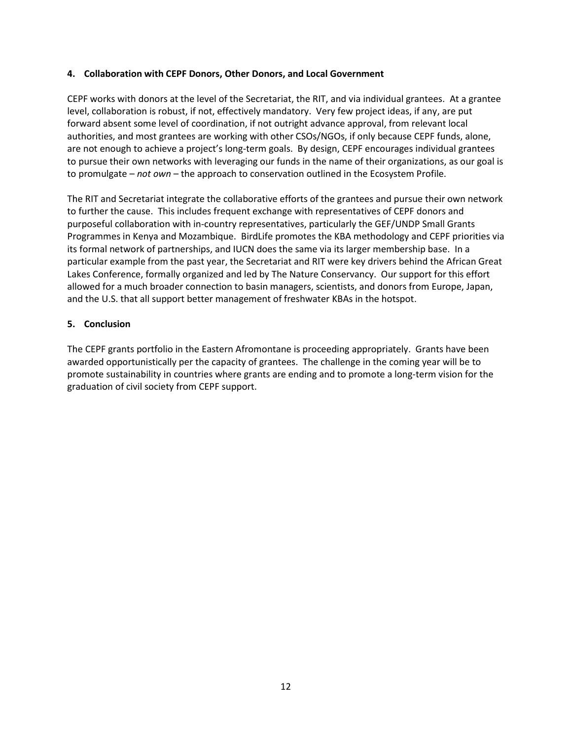## **4. Collaboration with CEPF Donors, Other Donors, and Local Government**

CEPF works with donors at the level of the Secretariat, the RIT, and via individual grantees. At a grantee level, collaboration is robust, if not, effectively mandatory. Very few project ideas, if any, are put forward absent some level of coordination, if not outright advance approval, from relevant local authorities, and most grantees are working with other CSOs/NGOs, if only because CEPF funds, alone, are not enough to achieve a project's long-term goals. By design, CEPF encourages individual grantees to pursue their own networks with leveraging our funds in the name of their organizations, as our goal is to promulgate – *not own* – the approach to conservation outlined in the Ecosystem Profile.

The RIT and Secretariat integrate the collaborative efforts of the grantees and pursue their own network to further the cause. This includes frequent exchange with representatives of CEPF donors and purposeful collaboration with in-country representatives, particularly the GEF/UNDP Small Grants Programmes in Kenya and Mozambique. BirdLife promotes the KBA methodology and CEPF priorities via its formal network of partnerships, and IUCN does the same via its larger membership base. In a particular example from the past year, the Secretariat and RIT were key drivers behind the African Great Lakes Conference, formally organized and led by The Nature Conservancy. Our support for this effort allowed for a much broader connection to basin managers, scientists, and donors from Europe, Japan, and the U.S. that all support better management of freshwater KBAs in the hotspot.

#### **5. Conclusion**

The CEPF grants portfolio in the Eastern Afromontane is proceeding appropriately. Grants have been awarded opportunistically per the capacity of grantees. The challenge in the coming year will be to promote sustainability in countries where grants are ending and to promote a long-term vision for the graduation of civil society from CEPF support.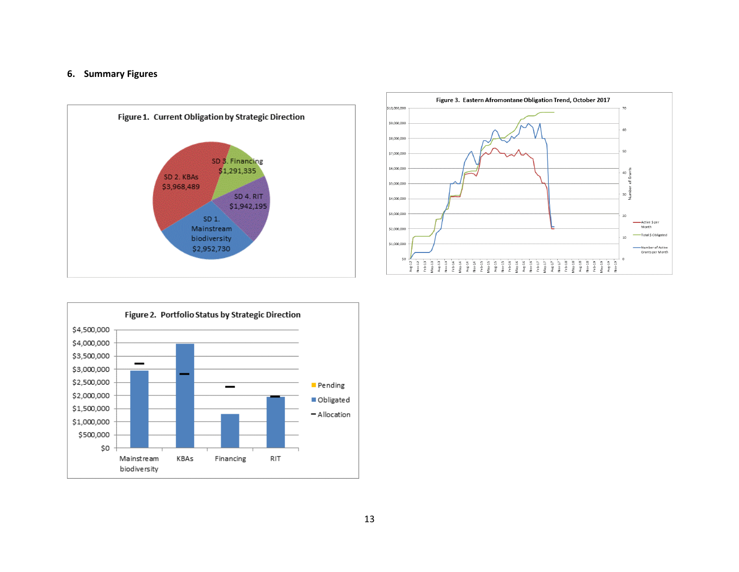#### **6. Summary Figures**





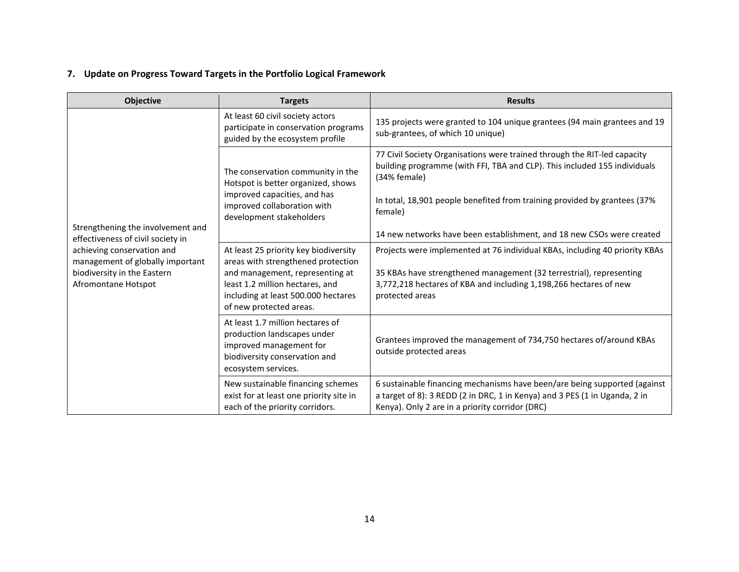# **7. Update on Progress Toward Targets in the Portfolio Logical Framework**

| <b>Objective</b>                                                                                                     | <b>Targets</b>                                                                                                                                                                                                      | <b>Results</b>                                                                                                                                                                                                                             |
|----------------------------------------------------------------------------------------------------------------------|---------------------------------------------------------------------------------------------------------------------------------------------------------------------------------------------------------------------|--------------------------------------------------------------------------------------------------------------------------------------------------------------------------------------------------------------------------------------------|
|                                                                                                                      | At least 60 civil society actors<br>participate in conservation programs<br>guided by the ecosystem profile                                                                                                         | 135 projects were granted to 104 unique grantees (94 main grantees and 19<br>sub-grantees, of which 10 unique)                                                                                                                             |
|                                                                                                                      | The conservation community in the<br>Hotspot is better organized, shows                                                                                                                                             | 77 Civil Society Organisations were trained through the RIT-led capacity<br>building programme (with FFI, TBA and CLP). This included 155 individuals<br>(34% female)                                                                      |
|                                                                                                                      | improved capacities, and has<br>improved collaboration with<br>development stakeholders                                                                                                                             | In total, 18,901 people benefited from training provided by grantees (37%<br>female)                                                                                                                                                       |
| Strengthening the involvement and<br>effectiveness of civil society in                                               |                                                                                                                                                                                                                     | 14 new networks have been establishment, and 18 new CSOs were created                                                                                                                                                                      |
| achieving conservation and<br>management of globally important<br>biodiversity in the Eastern<br>Afromontane Hotspot | At least 25 priority key biodiversity<br>areas with strengthened protection<br>and management, representing at<br>least 1.2 million hectares, and<br>including at least 500.000 hectares<br>of new protected areas. | Projects were implemented at 76 individual KBAs, including 40 priority KBAs<br>35 KBAs have strengthened management (32 terrestrial), representing<br>3,772,218 hectares of KBA and including 1,198,266 hectares of new<br>protected areas |
|                                                                                                                      | At least 1.7 million hectares of<br>production landscapes under<br>improved management for<br>biodiversity conservation and<br>ecosystem services.                                                                  | Grantees improved the management of 734,750 hectares of/around KBAs<br>outside protected areas                                                                                                                                             |
|                                                                                                                      | New sustainable financing schemes<br>exist for at least one priority site in<br>each of the priority corridors.                                                                                                     | 6 sustainable financing mechanisms have been/are being supported (against<br>a target of 8): 3 REDD (2 in DRC, 1 in Kenya) and 3 PES (1 in Uganda, 2 in<br>Kenya). Only 2 are in a priority corridor (DRC)                                 |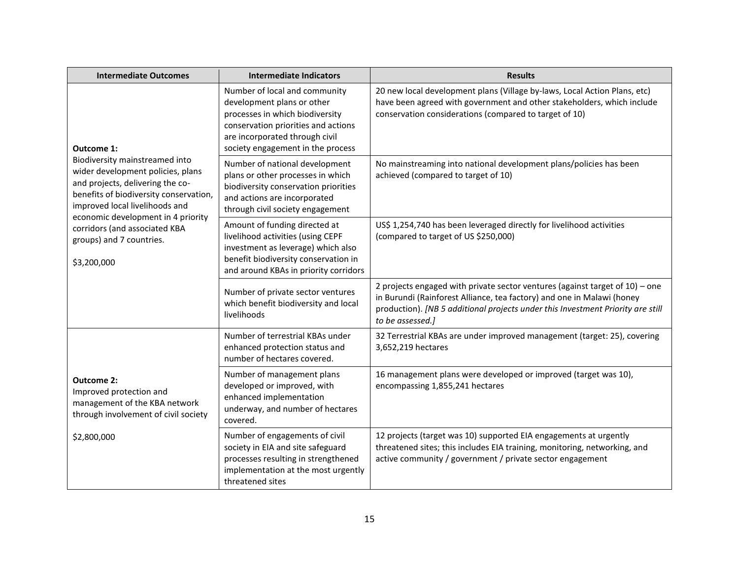| <b>Intermediate Outcomes</b>                                                                                                                                                                                              | <b>Intermediate Indicators</b>                                                                                                                                                                               | <b>Results</b>                                                                                                                                                                                                                                                   |
|---------------------------------------------------------------------------------------------------------------------------------------------------------------------------------------------------------------------------|--------------------------------------------------------------------------------------------------------------------------------------------------------------------------------------------------------------|------------------------------------------------------------------------------------------------------------------------------------------------------------------------------------------------------------------------------------------------------------------|
| Outcome 1:                                                                                                                                                                                                                | Number of local and community<br>development plans or other<br>processes in which biodiversity<br>conservation priorities and actions<br>are incorporated through civil<br>society engagement in the process | 20 new local development plans (Village by-laws, Local Action Plans, etc)<br>have been agreed with government and other stakeholders, which include<br>conservation considerations (compared to target of 10)                                                    |
| Biodiversity mainstreamed into<br>wider development policies, plans<br>and projects, delivering the co-<br>benefits of biodiversity conservation,<br>improved local livelihoods and<br>economic development in 4 priority | Number of national development<br>plans or other processes in which<br>biodiversity conservation priorities<br>and actions are incorporated<br>through civil society engagement                              | No mainstreaming into national development plans/policies has been<br>achieved (compared to target of 10)                                                                                                                                                        |
| corridors (and associated KBA<br>groups) and 7 countries.<br>\$3,200,000                                                                                                                                                  | Amount of funding directed at<br>livelihood activities (using CEPF<br>investment as leverage) which also<br>benefit biodiversity conservation in<br>and around KBAs in priority corridors                    | US\$ 1,254,740 has been leveraged directly for livelihood activities<br>(compared to target of US \$250,000)                                                                                                                                                     |
|                                                                                                                                                                                                                           | Number of private sector ventures<br>which benefit biodiversity and local<br>livelihoods                                                                                                                     | 2 projects engaged with private sector ventures (against target of $10$ ) – one<br>in Burundi (Rainforest Alliance, tea factory) and one in Malawi (honey<br>production). [NB 5 additional projects under this Investment Priority are still<br>to be assessed.] |
|                                                                                                                                                                                                                           | Number of terrestrial KBAs under<br>enhanced protection status and<br>number of hectares covered.                                                                                                            | 32 Terrestrial KBAs are under improved management (target: 25), covering<br>3,652,219 hectares                                                                                                                                                                   |
| Outcome 2:<br>Improved protection and<br>management of the KBA network<br>through involvement of civil society                                                                                                            | Number of management plans<br>developed or improved, with<br>enhanced implementation<br>underway, and number of hectares<br>covered.                                                                         | 16 management plans were developed or improved (target was 10),<br>encompassing 1,855,241 hectares                                                                                                                                                               |
| \$2,800,000                                                                                                                                                                                                               | Number of engagements of civil<br>society in EIA and site safeguard<br>processes resulting in strengthened<br>implementation at the most urgently<br>threatened sites                                        | 12 projects (target was 10) supported EIA engagements at urgently<br>threatened sites; this includes EIA training, monitoring, networking, and<br>active community / government / private sector engagement                                                      |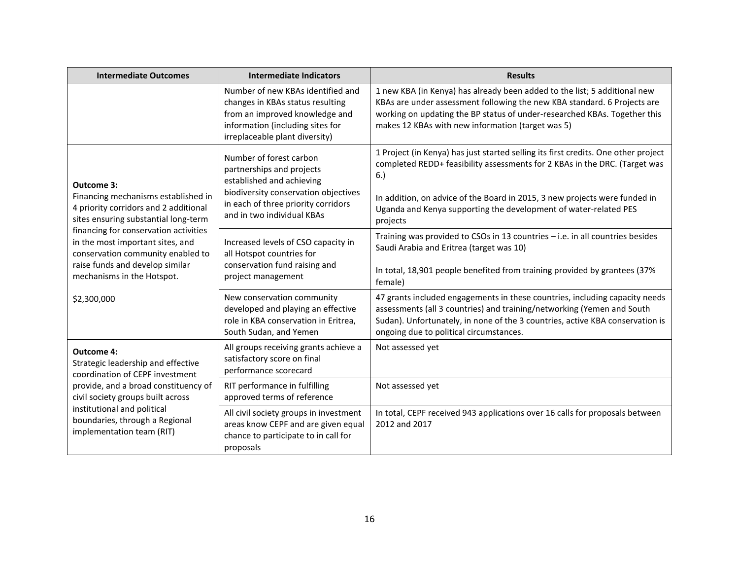| <b>Intermediate Outcomes</b>                                                                                                                                                    | <b>Intermediate Indicators</b>                                                                                                                                                                 | <b>Results</b>                                                                                                                                                                                                                                                                                                                        |
|---------------------------------------------------------------------------------------------------------------------------------------------------------------------------------|------------------------------------------------------------------------------------------------------------------------------------------------------------------------------------------------|---------------------------------------------------------------------------------------------------------------------------------------------------------------------------------------------------------------------------------------------------------------------------------------------------------------------------------------|
|                                                                                                                                                                                 | Number of new KBAs identified and<br>changes in KBAs status resulting<br>from an improved knowledge and<br>information (including sites for<br>irreplaceable plant diversity)                  | 1 new KBA (in Kenya) has already been added to the list; 5 additional new<br>KBAs are under assessment following the new KBA standard. 6 Projects are<br>working on updating the BP status of under-researched KBAs. Together this<br>makes 12 KBAs with new information (target was 5)                                               |
| Outcome 3:<br>Financing mechanisms established in<br>4 priority corridors and 2 additional<br>sites ensuring substantial long-term                                              | Number of forest carbon<br>partnerships and projects<br>established and achieving<br>biodiversity conservation objectives<br>in each of three priority corridors<br>and in two individual KBAs | 1 Project (in Kenya) has just started selling its first credits. One other project<br>completed REDD+ feasibility assessments for 2 KBAs in the DRC. (Target was<br>6.)<br>In addition, on advice of the Board in 2015, 3 new projects were funded in<br>Uganda and Kenya supporting the development of water-related PES<br>projects |
| financing for conservation activities<br>in the most important sites, and<br>conservation community enabled to<br>raise funds and develop similar<br>mechanisms in the Hotspot. | Increased levels of CSO capacity in<br>all Hotspot countries for<br>conservation fund raising and<br>project management                                                                        | Training was provided to CSOs in 13 countries - i.e. in all countries besides<br>Saudi Arabia and Eritrea (target was 10)<br>In total, 18,901 people benefited from training provided by grantees (37%<br>female)                                                                                                                     |
| \$2,300,000                                                                                                                                                                     | New conservation community<br>developed and playing an effective<br>role in KBA conservation in Eritrea,<br>South Sudan, and Yemen                                                             | 47 grants included engagements in these countries, including capacity needs<br>assessments (all 3 countries) and training/networking (Yemen and South<br>Sudan). Unfortunately, in none of the 3 countries, active KBA conservation is<br>ongoing due to political circumstances.                                                     |
| <b>Outcome 4:</b><br>Strategic leadership and effective<br>coordination of CEPF investment                                                                                      | All groups receiving grants achieve a<br>satisfactory score on final<br>performance scorecard                                                                                                  | Not assessed yet                                                                                                                                                                                                                                                                                                                      |
| provide, and a broad constituency of<br>civil society groups built across                                                                                                       | RIT performance in fulfilling<br>approved terms of reference                                                                                                                                   | Not assessed yet                                                                                                                                                                                                                                                                                                                      |
| institutional and political<br>boundaries, through a Regional<br>implementation team (RIT)                                                                                      | All civil society groups in investment<br>areas know CEPF and are given equal<br>chance to participate to in call for<br>proposals                                                             | In total, CEPF received 943 applications over 16 calls for proposals between<br>2012 and 2017                                                                                                                                                                                                                                         |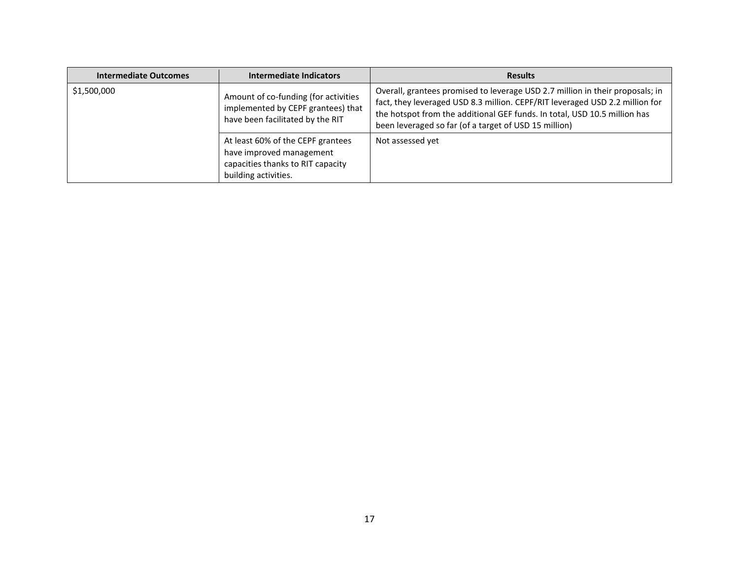| <b>Intermediate Outcomes</b> | Intermediate Indicators                                                                                                    | <b>Results</b>                                                                                                                                                                                                                                                                                      |
|------------------------------|----------------------------------------------------------------------------------------------------------------------------|-----------------------------------------------------------------------------------------------------------------------------------------------------------------------------------------------------------------------------------------------------------------------------------------------------|
| \$1,500,000                  | Amount of co-funding (for activities<br>implemented by CEPF grantees) that<br>have been facilitated by the RIT             | Overall, grantees promised to leverage USD 2.7 million in their proposals; in<br>fact, they leveraged USD 8.3 million. CEPF/RIT leveraged USD 2.2 million for<br>the hotspot from the additional GEF funds. In total, USD 10.5 million has<br>been leveraged so far (of a target of USD 15 million) |
|                              | At least 60% of the CEPF grantees<br>have improved management<br>capacities thanks to RIT capacity<br>building activities. | Not assessed yet                                                                                                                                                                                                                                                                                    |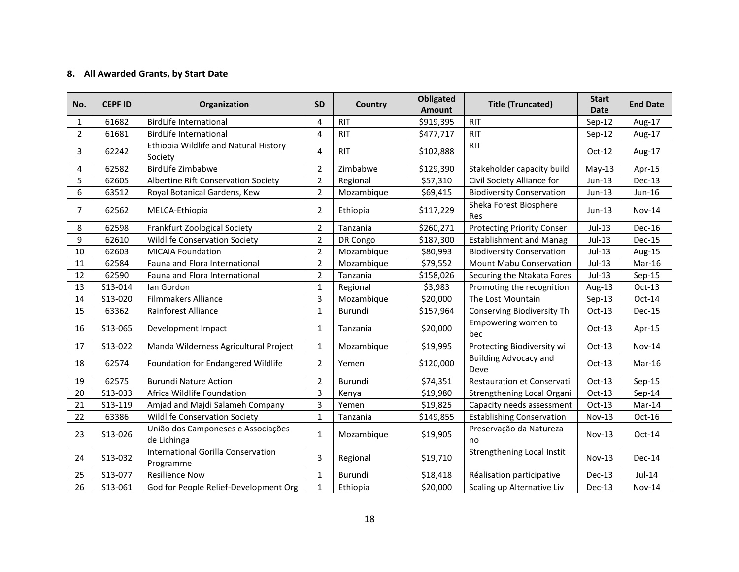# **8. All Awarded Grants, by Start Date**

| No.            | <b>CEPF ID</b> | Organization                                      | <b>SD</b>      | Country    | <b>Obligated</b><br><b>Amount</b> | <b>Title (Truncated)</b>             | <b>Start</b><br><b>Date</b> | <b>End Date</b> |
|----------------|----------------|---------------------------------------------------|----------------|------------|-----------------------------------|--------------------------------------|-----------------------------|-----------------|
| 1              | 61682          | <b>BirdLife International</b>                     | $\overline{4}$ | <b>RIT</b> | \$919,395                         | <b>RIT</b>                           | $Sep-12$                    | Aug-17          |
| $\overline{2}$ | 61681          | <b>BirdLife International</b>                     | $\overline{a}$ | <b>RIT</b> | \$477,717                         | <b>RIT</b>                           | $Sep-12$                    | Aug-17          |
| 3              | 62242          | Ethiopia Wildlife and Natural History<br>Society  | 4              | <b>RIT</b> | \$102,888                         | <b>RIT</b>                           | $Oct-12$                    | Aug-17          |
| 4              | 62582          | <b>BirdLife Zimbabwe</b>                          | $\overline{2}$ | Zimbabwe   | \$129,390                         | Stakeholder capacity build           | $May-13$                    | Apr-15          |
| 5              | 62605          | Albertine Rift Conservation Society               | $\overline{2}$ | Regional   | \$57,310                          | Civil Society Alliance for           | Jun-13                      | Dec-13          |
| 6              | 63512          | Royal Botanical Gardens, Kew                      | $\overline{2}$ | Mozambique | \$69,415                          | <b>Biodiversity Conservation</b>     | Jun-13                      | Jun-16          |
| 7              | 62562          | MELCA-Ethiopia                                    | 2              | Ethiopia   | \$117,229                         | Sheka Forest Biosphere<br>Res        | $Jun-13$                    | <b>Nov-14</b>   |
| 8              | 62598          | Frankfurt Zoological Society                      | $\overline{2}$ | Tanzania   | \$260,271                         | <b>Protecting Priority Conser</b>    | Jul-13                      | Dec-16          |
| 9              | 62610          | <b>Wildlife Conservation Society</b>              | $\overline{2}$ | DR Congo   | \$187,300                         | <b>Establishment and Manag</b>       | $Jul-13$                    | Dec-15          |
| 10             | 62603          | <b>MICAIA Foundation</b>                          | $\overline{2}$ | Mozambique | \$80,993                          | <b>Biodiversity Conservation</b>     | Jul-13                      | Aug-15          |
| 11             | 62584          | Fauna and Flora International                     | $\overline{2}$ | Mozambique | \$79,552                          | <b>Mount Mabu Conservation</b>       | $Jul-13$                    | Mar-16          |
| 12             | 62590          | Fauna and Flora International                     | $\overline{2}$ | Tanzania   | \$158,026                         | Securing the Ntakata Fores           | Jul-13                      | $Sep-15$        |
| 13             | S13-014        | lan Gordon                                        | 1              | Regional   | \$3,983                           | Promoting the recognition            | Aug-13                      | Oct-13          |
| 14             | S13-020        | <b>Filmmakers Alliance</b>                        | $\overline{3}$ | Mozambique | \$20,000                          | The Lost Mountain                    | $Sep-13$                    | Oct-14          |
| 15             | 63362          | Rainforest Alliance                               | $\mathbf{1}$   | Burundi    | \$157,964                         | Conserving Biodiversity Th           | $Oct-13$                    | <b>Dec-15</b>   |
| 16             | S13-065        | Development Impact                                | $\mathbf{1}$   | Tanzania   | \$20,000                          | Empowering women to<br>bec           | $Oct-13$                    | Apr-15          |
| 17             | S13-022        | Manda Wilderness Agricultural Project             | 1              | Mozambique | \$19,995                          | Protecting Biodiversity wi           | $Oct-13$                    | <b>Nov-14</b>   |
| 18             | 62574          | Foundation for Endangered Wildlife                | 2              | Yemen      | \$120,000                         | <b>Building Advocacy and</b><br>Deve | $Oct-13$                    | Mar-16          |
| 19             | 62575          | <b>Burundi Nature Action</b>                      | $\overline{2}$ | Burundi    | \$74,351                          | <b>Restauration et Conservati</b>    | $Oct-13$                    | $Sep-15$        |
| 20             | S13-033        | Africa Wildlife Foundation                        | 3              | Kenya      | \$19,980                          | Strengthening Local Organi           | $Oct-13$                    | $Sep-14$        |
| 21             | S13-119        | Amjad and Majdi Salameh Company                   | $\overline{3}$ | Yemen      | \$19,825                          | Capacity needs assessment            | $Oct-13$                    | Mar-14          |
| 22             | 63386          | <b>Wildlife Conservation Society</b>              | $\mathbf{1}$   | Tanzania   | \$149,855                         | <b>Establishing Conservation</b>     | Nov-13                      | Oct-16          |
| 23             | S13-026        | União dos Camponeses e Associações<br>de Lichinga | 1              | Mozambique | \$19,905                          | Preservação da Natureza<br>no        | $Nov-13$                    | Oct-14          |
| 24             | S13-032        | International Gorilla Conservation<br>Programme   | 3              | Regional   | \$19,710                          | Strengthening Local Instit           | $Nov-13$                    | Dec-14          |
| 25             | S13-077        | <b>Resilience Now</b>                             | $\mathbf{1}$   | Burundi    | \$18,418                          | Réalisation participative            | Dec-13                      | $Jul-14$        |
| 26             | S13-061        | God for People Relief-Development Org             | 1              | Ethiopia   | \$20,000                          | Scaling up Alternative Liv           | $Dec-13$                    | Nov-14          |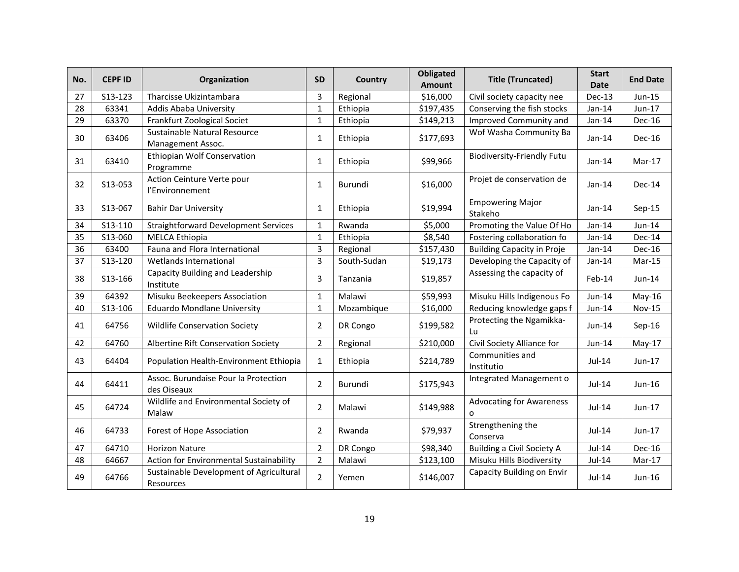| No. | <b>CEPF ID</b> | Organization                                         | <b>SD</b>      | Country     | <b>Obligated</b><br>Amount | <b>Title (Truncated)</b>             | <b>Start</b><br><b>Date</b> | <b>End Date</b> |
|-----|----------------|------------------------------------------------------|----------------|-------------|----------------------------|--------------------------------------|-----------------------------|-----------------|
| 27  | S13-123        | Tharcisse Ukizintambara                              | 3              | Regional    | \$16,000                   | Civil society capacity nee           | Dec-13                      | Jun-15          |
| 28  | 63341          | Addis Ababa University                               | $\mathbf{1}$   | Ethiopia    | \$197,435                  | Conserving the fish stocks           | $Jan-14$                    | Jun-17          |
| 29  | 63370          | Frankfurt Zoological Societ                          | $\mathbf{1}$   | Ethiopia    | \$149,213                  | Improved Community and               | Jan-14                      | Dec-16          |
| 30  | 63406          | Sustainable Natural Resource<br>Management Assoc.    | $\mathbf{1}$   | Ethiopia    | \$177,693                  | Wof Washa Community Ba               | $Jan-14$                    | Dec-16          |
| 31  | 63410          | Ethiopian Wolf Conservation<br>Programme             | $\mathbf{1}$   | Ethiopia    | \$99,966                   | <b>Biodiversity-Friendly Futu</b>    | $Jan-14$                    | Mar-17          |
| 32  | S13-053        | Action Ceinture Verte pour<br>l'Environnement        | $\mathbf{1}$   | Burundi     | \$16,000                   | Projet de conservation de            | $Jan-14$                    | Dec-14          |
| 33  | S13-067        | <b>Bahir Dar University</b>                          | 1              | Ethiopia    | \$19,994                   | <b>Empowering Major</b><br>Stakeho   | $Jan-14$                    | $Sep-15$        |
| 34  | S13-110        | <b>Straightforward Development Services</b>          | 1              | Rwanda      | \$5,000                    | Promoting the Value Of Ho            | Jan-14                      | Jun-14          |
| 35  | S13-060        | <b>MELCA Ethiopia</b>                                | $\mathbf 1$    | Ethiopia    | \$8,540                    | Fostering collaboration fo           | $Jan-14$                    | Dec-14          |
| 36  | 63400          | Fauna and Flora International                        | $\overline{3}$ | Regional    | \$157,430                  | <b>Building Capacity in Proje</b>    | Jan-14                      | Dec-16          |
| 37  | S13-120        | Wetlands International                               | $\overline{3}$ | South-Sudan | \$19,173                   | Developing the Capacity of           | $Jan-14$                    | Mar-15          |
| 38  | S13-166        | Capacity Building and Leadership<br>Institute        | 3              | Tanzania    | \$19,857                   | Assessing the capacity of            | Feb-14                      | $Jun-14$        |
| 39  | 64392          | Misuku Beekeepers Association                        | $\mathbf{1}$   | Malawi      | \$59,993                   | Misuku Hills Indigenous Fo           | Jun-14                      | May-16          |
| 40  | S13-106        | <b>Eduardo Mondlane University</b>                   | $\mathbf{1}$   | Mozambique  | \$16,000                   | Reducing knowledge gaps f            | Jun-14                      | <b>Nov-15</b>   |
| 41  | 64756          | <b>Wildlife Conservation Society</b>                 | $\overline{2}$ | DR Congo    | \$199,582                  | Protecting the Ngamikka-<br>Lu       | Jun-14                      | $Sep-16$        |
| 42  | 64760          | Albertine Rift Conservation Society                  | 2              | Regional    | \$210,000                  | Civil Society Alliance for           | Jun-14                      | $May-17$        |
| 43  | 64404          | Population Health-Environment Ethiopia               | 1              | Ethiopia    | \$214,789                  | Communities and<br>Institutio        | $Jul-14$                    | Jun-17          |
| 44  | 64411          | Assoc. Burundaise Pour la Protection<br>des Oiseaux  | $\overline{2}$ | Burundi     | \$175,943                  | Integrated Management o              | Jul-14                      | Jun-16          |
| 45  | 64724          | Wildlife and Environmental Society of<br>Malaw       | 2              | Malawi      | \$149,988                  | <b>Advocating for Awareness</b><br>0 | Jul-14                      | Jun-17          |
| 46  | 64733          | Forest of Hope Association                           | 2              | Rwanda      | \$79,937                   | Strengthening the<br>Conserva        | Jul-14                      | $Jun-17$        |
| 47  | 64710          | <b>Horizon Nature</b>                                | 2              | DR Congo    | \$98,340                   | <b>Building a Civil Society A</b>    | Jul-14                      | Dec-16          |
| 48  | 64667          | Action for Environmental Sustainability              | $\overline{2}$ | Malawi      | \$123,100                  | Misuku Hills Biodiversity            | Jul-14                      | Mar-17          |
| 49  | 64766          | Sustainable Development of Agricultural<br>Resources | $\mathcal{P}$  | Yemen       | \$146,007                  | Capacity Building on Envir           | $Jul-14$                    | $Jun-16$        |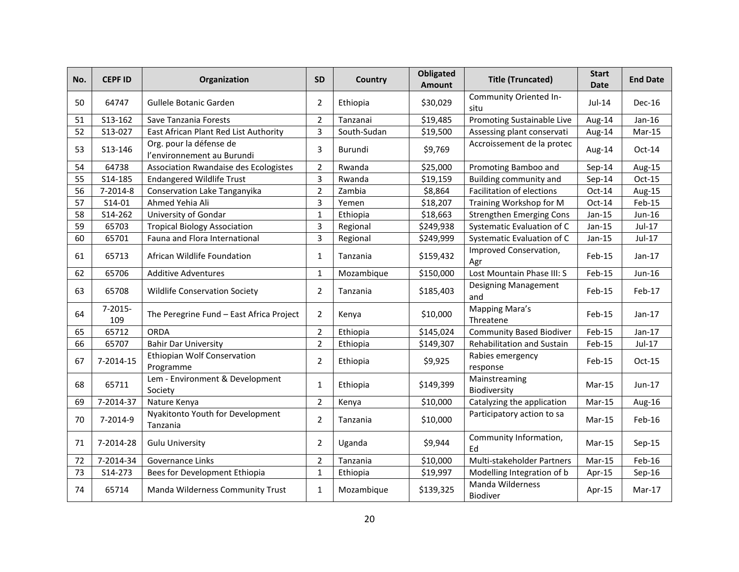| No. | <b>CEPFID</b>       | Organization                                          | <b>SD</b>      | Country     | <b>Obligated</b><br>Amount | <b>Title (Truncated)</b>           | <b>Start</b><br><b>Date</b> | <b>End Date</b> |
|-----|---------------------|-------------------------------------------------------|----------------|-------------|----------------------------|------------------------------------|-----------------------------|-----------------|
| 50  | 64747               | Gullele Botanic Garden                                | $\overline{2}$ | Ethiopia    | \$30,029                   | Community Oriented In-<br>situ     | Jul-14                      | $Dec-16$        |
| 51  | S13-162             | Save Tanzania Forests                                 | 2              | Tanzanai    | \$19,485                   | Promoting Sustainable Live         | Aug-14                      | $Jan-16$        |
| 52  | S13-027             | East African Plant Red List Authority                 | $\mathsf{3}$   | South-Sudan | \$19,500                   | Assessing plant conservati         | Aug-14                      | Mar-15          |
| 53  | S13-146             | Org. pour la défense de<br>l'environnement au Burundi | 3              | Burundi     | \$9,769                    | Accroissement de la protec         | Aug-14                      | $Oct-14$        |
| 54  | 64738               | Association Rwandaise des Ecologistes                 | $\overline{2}$ | Rwanda      | \$25,000                   | Promoting Bamboo and               | $Sep-14$                    | Aug-15          |
| 55  | S14-185             | <b>Endangered Wildlife Trust</b>                      | 3              | Rwanda      | \$19,159                   | Building community and             | $Sep-14$                    | Oct-15          |
| 56  | 7-2014-8            | Conservation Lake Tanganyika                          | $\overline{2}$ | Zambia      | \$8,864                    | <b>Facilitation of elections</b>   | Oct-14                      | Aug-15          |
| 57  | S14-01              | Ahmed Yehia Ali                                       | $\overline{3}$ | Yemen       | \$18,207                   | Training Workshop for M            | Oct-14                      | Feb-15          |
| 58  | S14-262             | University of Gondar                                  | $\mathbf 1$    | Ethiopia    | \$18,663                   | <b>Strengthen Emerging Cons</b>    | $Jan-15$                    | Jun-16          |
| 59  | 65703               | <b>Tropical Biology Association</b>                   | $\overline{3}$ | Regional    | \$249,938                  | Systematic Evaluation of C         | $Jan-15$                    | Jul-17          |
| 60  | 65701               | Fauna and Flora International                         | $\overline{3}$ | Regional    | \$249,999                  | Systematic Evaluation of C         | $Jan-15$                    | Jul-17          |
| 61  | 65713               | African Wildlife Foundation                           | $\mathbf{1}$   | Tanzania    | \$159,432                  | Improved Conservation,<br>Agr      | Feb-15                      | $Jan-17$        |
| 62  | 65706               | <b>Additive Adventures</b>                            | $\mathbf{1}$   | Mozambique  | \$150,000                  | Lost Mountain Phase III: S         | Feb-15                      | Jun-16          |
| 63  | 65708               | <b>Wildlife Conservation Society</b>                  | 2              | Tanzania    | \$185,403                  | <b>Designing Management</b><br>and | Feb-15                      | Feb-17          |
| 64  | $7 - 2015 -$<br>109 | The Peregrine Fund - East Africa Project              | 2              | Kenya       | \$10,000                   | Mapping Mara's<br>Threatene        | Feb-15                      | $Jan-17$        |
| 65  | 65712               | <b>ORDA</b>                                           | $\overline{2}$ | Ethiopia    | \$145,024                  | <b>Community Based Biodiver</b>    | Feb-15                      | $Jan-17$        |
| 66  | 65707               | <b>Bahir Dar University</b>                           | $\overline{2}$ | Ethiopia    | \$149,307                  | Rehabilitation and Sustain         | Feb-15                      | Jul-17          |
| 67  | 7-2014-15           | <b>Ethiopian Wolf Conservation</b><br>Programme       | $\overline{2}$ | Ethiopia    | \$9,925                    | Rabies emergency<br>response       | Feb-15                      | $Oct-15$        |
| 68  | 65711               | Lem - Environment & Development<br>Society            | $\mathbf{1}$   | Ethiopia    | \$149,399                  | Mainstreaming<br>Biodiversity      | $Mar-15$                    | $Jun-17$        |
| 69  | 7-2014-37           | Nature Kenya                                          | $\overline{2}$ | Kenya       | \$10,000                   | Catalyzing the application         | Mar-15                      | Aug-16          |
| 70  | 7-2014-9            | Nyakitonto Youth for Development<br>Tanzania          | 2              | Tanzania    | \$10,000                   | Participatory action to sa         | $Mar-15$                    | Feb-16          |
| 71  | 7-2014-28           | <b>Gulu University</b>                                | $\overline{2}$ | Uganda      | \$9,944                    | Community Information,<br>Fd       | Mar-15                      | $Sep-15$        |
| 72  | 7-2014-34           | Governance Links                                      | 2              | Tanzania    | \$10,000                   | Multi-stakeholder Partners         | $Mar-15$                    | Feb-16          |
| 73  | S14-273             | Bees for Development Ethiopia                         | $\mathbf{1}$   | Ethiopia    | \$19,997                   | Modelling Integration of b         | Apr-15                      | $Sep-16$        |
| 74  | 65714               | Manda Wilderness Community Trust                      | $\mathbf{1}$   | Mozambique  | \$139,325                  | Manda Wilderness<br>Biodiver       | Apr-15                      | $Mar-17$        |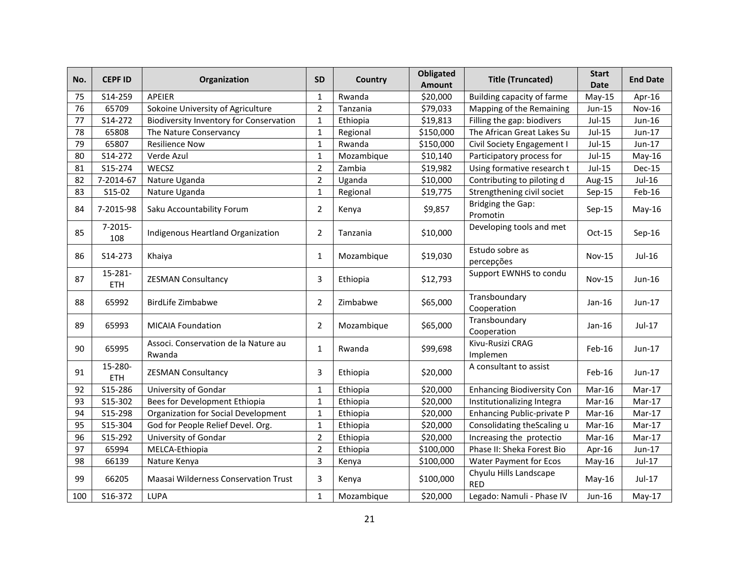| No. | <b>CEPFID</b>         | <b>Organization</b>                            | <b>SD</b>      | Country    | <b>Obligated</b><br><b>Amount</b> | <b>Title (Truncated)</b>             | <b>Start</b><br><b>Date</b> | <b>End Date</b> |
|-----|-----------------------|------------------------------------------------|----------------|------------|-----------------------------------|--------------------------------------|-----------------------------|-----------------|
| 75  | S14-259               | APEIER                                         | $\mathbf{1}$   | Rwanda     | \$20,000                          | Building capacity of farme           | $May-15$                    | Apr-16          |
| 76  | 65709                 | Sokoine University of Agriculture              | $\overline{2}$ | Tanzania   | \$79,033                          | Mapping of the Remaining             | Jun-15                      | <b>Nov-16</b>   |
| 77  | S14-272               | <b>Biodiversity Inventory for Conservation</b> | $\mathbf{1}$   | Ethiopia   | \$19,813                          | Filling the gap: biodivers           | Jul-15                      | Jun-16          |
| 78  | 65808                 | The Nature Conservancy                         | $\mathbf{1}$   | Regional   | \$150,000                         | The African Great Lakes Su           | Jul-15                      | Jun-17          |
| 79  | 65807                 | <b>Resilience Now</b>                          | $\mathbf{1}$   | Rwanda     | \$150,000                         | Civil Society Engagement I           | $Jul-15$                    | Jun-17          |
| 80  | S14-272               | Verde Azul                                     | $\mathbf{1}$   | Mozambique | \$10,140                          | Participatory process for            | $Jul-15$                    | $May-16$        |
| 81  | S15-274               | WECSZ                                          | $\overline{2}$ | Zambia     | \$19,982                          | Using formative research t           | $Jul-15$                    | <b>Dec-15</b>   |
| 82  | 7-2014-67             | Nature Uganda                                  | $\overline{2}$ | Uganda     | \$10,000                          | Contributing to piloting d           | Aug-15                      | Jul-16          |
| 83  | S15-02                | Nature Uganda                                  | $\mathbf{1}$   | Regional   | \$19,775                          | Strengthening civil societ           | $Sep-15$                    | Feb-16          |
| 84  | 7-2015-98             | Saku Accountability Forum                      | 2              | Kenya      | \$9,857                           | <b>Bridging the Gap:</b><br>Promotin | $Sep-15$                    | $May-16$        |
| 85  | $7 - 2015 -$<br>108   | Indigenous Heartland Organization              | $\overline{2}$ | Tanzania   | \$10,000                          | Developing tools and met             | $Oct-15$                    | $Sep-16$        |
| 86  | S14-273               | Khaiya                                         | 1              | Mozambique | \$19,030                          | Estudo sobre as<br>percepções        | Nov-15                      | Jul-16          |
| 87  | 15-281-<br><b>ETH</b> | <b>ZESMAN Consultancy</b>                      | 3              | Ethiopia   | \$12,793                          | Support EWNHS to condu               | <b>Nov-15</b>               | Jun-16          |
| 88  | 65992                 | <b>BirdLife Zimbabwe</b>                       | 2              | Zimbabwe   | \$65,000                          | Transboundary<br>Cooperation         | Jan-16                      | Jun-17          |
| 89  | 65993                 | <b>MICAIA Foundation</b>                       | $\overline{2}$ | Mozambique | \$65,000                          | Transboundary<br>Cooperation         | $Jan-16$                    | Jul-17          |
| 90  | 65995                 | Associ. Conservation de la Nature au<br>Rwanda | 1              | Rwanda     | \$99,698                          | Kivu-Rusizi CRAG<br>Implemen         | Feb-16                      | Jun-17          |
| 91  | 15-280-<br>ETH        | <b>ZESMAN Consultancy</b>                      | 3              | Ethiopia   | \$20,000                          | A consultant to assist               | Feb-16                      | Jun-17          |
| 92  | S15-286               | University of Gondar                           | $\mathbf{1}$   | Ethiopia   | \$20,000                          | <b>Enhancing Biodiversity Con</b>    | Mar-16                      | Mar-17          |
| 93  | S15-302               | Bees for Development Ethiopia                  | $\mathbf{1}$   | Ethiopia   | \$20,000                          | Institutionalizing Integra           | Mar-16                      | Mar-17          |
| 94  | S15-298               | Organization for Social Development            | $\mathbf{1}$   | Ethiopia   | \$20,000                          | Enhancing Public-private P           | Mar-16                      | Mar-17          |
| 95  | S15-304               | God for People Relief Devel. Org.              | $\mathbf{1}$   | Ethiopia   | \$20,000                          | Consolidating the Scaling u          | Mar-16                      | Mar-17          |
| 96  | S15-292               | University of Gondar                           | $\overline{2}$ | Ethiopia   | \$20,000                          | Increasing the protectio             | Mar-16                      | Mar-17          |
| 97  | 65994                 | MELCA-Ethiopia                                 | $\overline{2}$ | Ethiopia   | \$100,000                         | Phase II: Sheka Forest Bio           | Apr-16                      | Jun-17          |
| 98  | 66139                 | Nature Kenya                                   | 3              | Kenya      | \$100,000                         | Water Payment for Ecos               | May-16                      | Jul-17          |
| 99  | 66205                 | <b>Maasai Wilderness Conservation Trust</b>    | 3              | Kenya      | \$100,000                         | Chyulu Hills Landscape<br><b>RED</b> | $May-16$                    | Jul-17          |
| 100 | S16-372               | LUPA                                           | $\mathbf{1}$   | Mozambique | \$20,000                          | Legado: Namuli - Phase IV            | $Jun-16$                    | $May-17$        |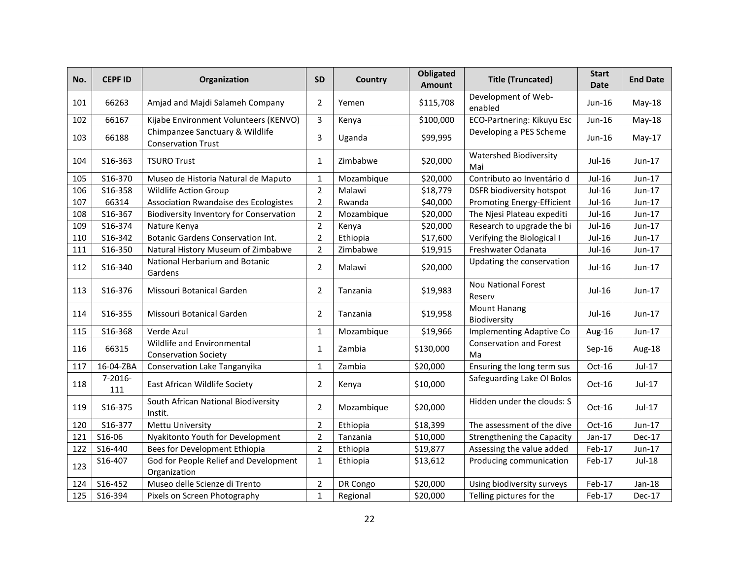| No. | <b>CEPF ID</b>      | Organization                                                 | <b>SD</b>      | Country    | <b>Obligated</b><br>Amount | <b>Title (Truncated)</b>             | <b>Start</b><br><b>Date</b> | <b>End Date</b> |
|-----|---------------------|--------------------------------------------------------------|----------------|------------|----------------------------|--------------------------------------|-----------------------------|-----------------|
| 101 | 66263               | Amjad and Majdi Salameh Company                              | 2              | Yemen      | \$115,708                  | Development of Web-<br>enabled       | Jun-16                      | May-18          |
| 102 | 66167               | Kijabe Environment Volunteers (KENVO)                        | $\mathbf{3}$   | Kenya      | \$100,000                  | ECO-Partnering: Kikuyu Esc           | Jun-16                      | May-18          |
| 103 | 66188               | Chimpanzee Sanctuary & Wildlife<br><b>Conservation Trust</b> | 3              | Uganda     | \$99,995                   | Developing a PES Scheme              | Jun-16                      | $May-17$        |
| 104 | S16-363             | <b>TSURO Trust</b>                                           | 1              | Zimbabwe   | \$20,000                   | <b>Watershed Biodiversity</b><br>Mai | Jul-16                      | $Jun-17$        |
| 105 | S16-370             | Museo de Historia Natural de Maputo                          | $\mathbf{1}$   | Mozambique | \$20,000                   | Contributo ao Inventário d           | Jul-16                      | Jun-17          |
| 106 | S16-358             | Wildlife Action Group                                        | $\overline{2}$ | Malawi     | \$18,779                   | DSFR biodiversity hotspot            | Jul-16                      | Jun-17          |
| 107 | 66314               | Association Rwandaise des Ecologistes                        | $\overline{2}$ | Rwanda     | \$40,000                   | <b>Promoting Energy-Efficient</b>    | Jul-16                      | Jun-17          |
| 108 | S16-367             | <b>Biodiversity Inventory for Conservation</b>               | $\overline{2}$ | Mozambique | \$20,000                   | The Njesi Plateau expediti           | Jul-16                      | Jun-17          |
| 109 | S16-374             | Nature Kenya                                                 | $\overline{2}$ | Kenya      | \$20,000                   | Research to upgrade the bi           | Jul-16                      | Jun-17          |
| 110 | S16-342             | <b>Botanic Gardens Conservation Int.</b>                     | $\overline{2}$ | Ethiopia   | \$17,600                   | Verifying the Biological I           | Jul-16                      | Jun-17          |
| 111 | S16-350             | Natural History Museum of Zimbabwe                           | $\overline{2}$ | Zimbabwe   | \$19,915                   | Freshwater Odanata                   | Jul-16                      | Jun-17          |
| 112 | S16-340             | National Herbarium and Botanic<br>Gardens                    | $\overline{2}$ | Malawi     | \$20,000                   | Updating the conservation            | Jul-16                      | Jun-17          |
| 113 | S16-376             | Missouri Botanical Garden                                    | 2              | Tanzania   | \$19,983                   | <b>Nou National Forest</b><br>Reserv | Jul-16                      | Jun-17          |
| 114 | S16-355             | Missouri Botanical Garden                                    | $\overline{2}$ | Tanzania   | \$19,958                   | <b>Mount Hanang</b><br>Biodiversity  | Jul-16                      | Jun-17          |
| 115 | S16-368             | Verde Azul                                                   | $\mathbf{1}$   | Mozambique | \$19,966                   | <b>Implementing Adaptive Co</b>      | Aug-16                      | Jun-17          |
| 116 | 66315               | Wildlife and Environmental<br><b>Conservation Society</b>    | 1              | Zambia     | \$130,000                  | <b>Conservation and Forest</b><br>Ma | Sep-16                      | Aug-18          |
| 117 | 16-04-ZBA           | Conservation Lake Tanganyika                                 | $\mathbf{1}$   | Zambia     | \$20,000                   | Ensuring the long term sus           | Oct-16                      | $Jul-17$        |
| 118 | $7 - 2016 -$<br>111 | East African Wildlife Society                                | 2              | Kenya      | \$10,000                   | Safeguarding Lake Ol Bolos           | $Oct-16$                    | Jul-17          |
| 119 | S16-375             | South African National Biodiversity<br>Instit.               | 2              | Mozambique | \$20,000                   | Hidden under the clouds: S           | Oct-16                      | Jul-17          |
| 120 | S16-377             | <b>Mettu University</b>                                      | $\overline{2}$ | Ethiopia   | \$18,399                   | The assessment of the dive           | Oct-16                      | Jun-17          |
| 121 | S16-06              | Nyakitonto Youth for Development                             | $\overline{2}$ | Tanzania   | \$10,000                   | <b>Strengthening the Capacity</b>    | $Jan-17$                    | <b>Dec-17</b>   |
| 122 | S16-440             | Bees for Development Ethiopia                                | $\overline{2}$ | Ethiopia   | \$19,877                   | Assessing the value added            | Feb-17                      | Jun-17          |
| 123 | S16-407             | God for People Relief and Development<br>Organization        | $\mathbf{1}$   | Ethiopia   | \$13,612                   | Producing communication              | Feb-17                      | Jul-18          |
| 124 | S16-452             | Museo delle Scienze di Trento                                | $\overline{2}$ | DR Congo   | \$20,000                   | Using biodiversity surveys           | Feb-17                      | $Jan-18$        |
| 125 | S16-394             | Pixels on Screen Photography                                 | $\mathbf{1}$   | Regional   | \$20,000                   | Telling pictures for the             | Feb-17                      | Dec-17          |